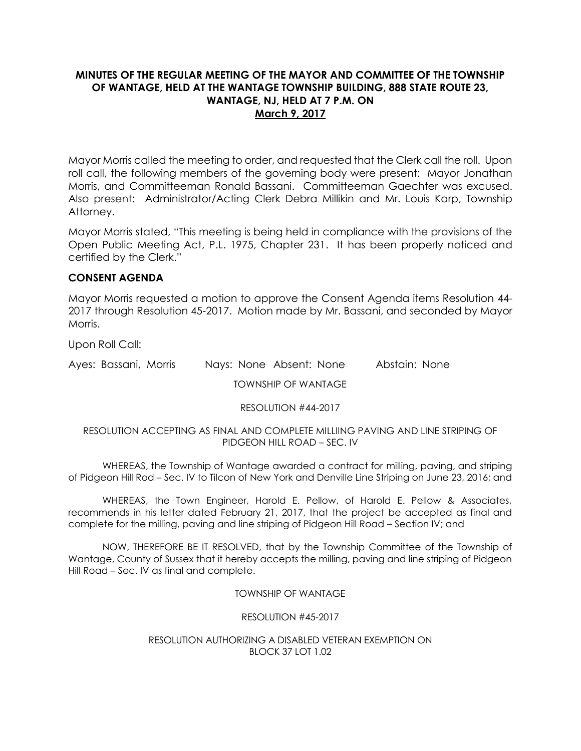## **MINUTES OF THE REGULAR MEETING OF THE MAYOR AND COMMITTEE OF THE TOWNSHIP OF WANTAGE, HELD AT THE WANTAGE TOWNSHIP BUILDING, 888 STATE ROUTE 23, WANTAGE, NJ, HELD AT 7 P.M. ON March 9, 2017**

Mayor Morris called the meeting to order, and requested that the Clerk call the roll. Upon roll call, the following members of the governing body were present: Mayor Jonathan Morris, and Committeeman Ronald Bassani. Committeeman Gaechter was excused. Also present: Administrator/Acting Clerk Debra Millikin and Mr. Louis Karp, Township Attorney.

Mayor Morris stated, "This meeting is being held in compliance with the provisions of the Open Public Meeting Act, P.L. 1975, Chapter 231. It has been properly noticed and certified by the Clerk."

## **CONSENT AGENDA**

Mayor Morris requested a motion to approve the Consent Agenda items Resolution 44- 2017 through Resolution 45-2017. Motion made by Mr. Bassani, and seconded by Mayor Morris.

Upon Roll Call:

Ayes: Bassani, Morris Nays: None Absent: None Abstain: None

TOWNSHIP OF WANTAGE

RESOLUTION #44-2017

#### RESOLUTION ACCEPTING AS FINAL AND COMPLETE MILLIING PAVING AND LINE STRIPING OF PIDGEON HILL ROAD – SEC. IV

WHEREAS, the Township of Wantage awarded a contract for milling, paving, and striping of Pidgeon Hill Rod – Sec. IV to Tilcon of New York and Denville Line Striping on June 23, 2016; and

WHEREAS, the Town Engineer, Harold E. Pellow, of Harold E. Pellow & Associates, recommends in his letter dated February 21, 2017, that the project be accepted as final and complete for the milling, paving and line striping of Pidgeon Hill Road – Section IV; and

NOW, THEREFORE BE IT RESOLVED, that by the Township Committee of the Township of Wantage, County of Sussex that it hereby accepts the milling, paving and line striping of Pidgeon Hill Road – Sec. IV as final and complete.

### TOWNSHIP OF WANTAGE

### RESOLUTION #45-2017

#### RESOLUTION AUTHORIZING A DISABLED VETERAN EXEMPTION ON BLOCK 37 LOT 1.02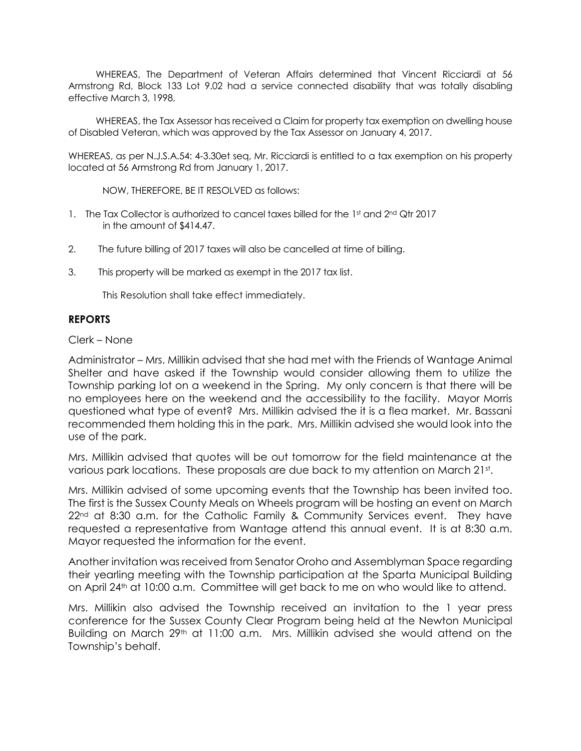WHEREAS, The Department of Veteran Affairs determined that Vincent Ricciardi at 56 Armstrong Rd, Block 133 Lot 9.02 had a service connected disability that was totally disabling effective March 3, 1998,

 WHEREAS, the Tax Assessor has received a Claim for property tax exemption on dwelling house of Disabled Veteran, which was approved by the Tax Assessor on January 4, 2017.

WHEREAS, as per N.J.S.A.54: 4-3.30et seq, Mr. Ricciardi is entitled to a tax exemption on his property located at 56 Armstrong Rd from January 1, 2017.

NOW, THEREFORE, BE IT RESOLVED as follows:

- 1. The Tax Collector is authorized to cancel taxes billed for the 1st and 2nd Qtr 2017 in the amount of \$414.47.
- 2. The future billing of 2017 taxes will also be cancelled at time of billing.
- 3. This property will be marked as exempt in the 2017 tax list.

This Resolution shall take effect immediately.

### **REPORTS**

Clerk – None

Administrator – Mrs. Millikin advised that she had met with the Friends of Wantage Animal Shelter and have asked if the Township would consider allowing them to utilize the Township parking lot on a weekend in the Spring. My only concern is that there will be no employees here on the weekend and the accessibility to the facility. Mayor Morris questioned what type of event? Mrs. Millikin advised the it is a flea market. Mr. Bassani recommended them holding this in the park. Mrs. Millikin advised she would look into the use of the park.

Mrs. Millikin advised that quotes will be out tomorrow for the field maintenance at the various park locations. These proposals are due back to my attention on March 21st.

Mrs. Millikin advised of some upcoming events that the Township has been invited too. The first is the Sussex County Meals on Wheels program will be hosting an event on March 22<sup>nd</sup> at 8:30 a.m. for the Catholic Family & Community Services event. They have requested a representative from Wantage attend this annual event. It is at 8:30 a.m. Mayor requested the information for the event.

Another invitation was received from Senator Oroho and Assemblyman Space regarding their yearling meeting with the Township participation at the Sparta Municipal Building on April 24th at 10:00 a.m. Committee will get back to me on who would like to attend.

Mrs. Millikin also advised the Township received an invitation to the 1 year press conference for the Sussex County Clear Program being held at the Newton Municipal Building on March  $29<sup>th</sup>$  at 11:00 a.m. Mrs. Millikin advised she would attend on the Township's behalf.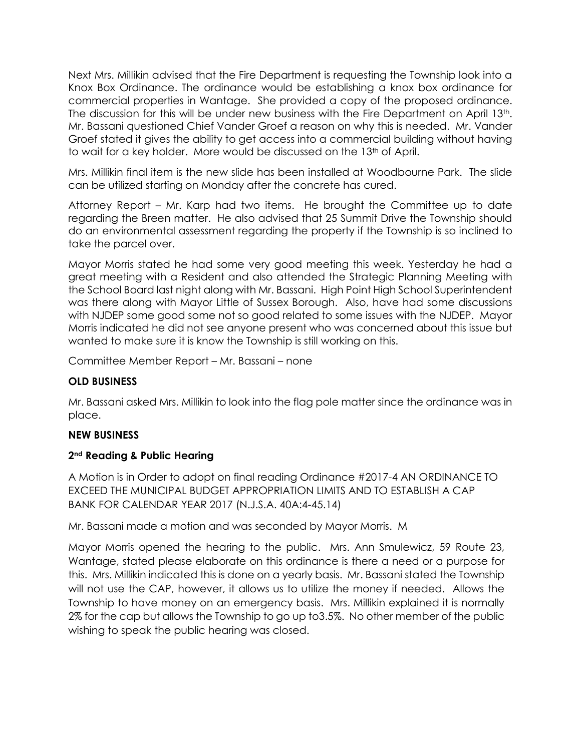Next Mrs. Millikin advised that the Fire Department is requesting the Township look into a Knox Box Ordinance. The ordinance would be establishing a knox box ordinance for commercial properties in Wantage. She provided a copy of the proposed ordinance. The discussion for this will be under new business with the Fire Department on April 13th. Mr. Bassani questioned Chief Vander Groef a reason on why this is needed. Mr. Vander Groef stated it gives the ability to get access into a commercial building without having to wait for a key holder. More would be discussed on the 13<sup>th</sup> of April.

Mrs. Millikin final item is the new slide has been installed at Woodbourne Park. The slide can be utilized starting on Monday after the concrete has cured.

Attorney Report – Mr. Karp had two items. He brought the Committee up to date regarding the Breen matter. He also advised that 25 Summit Drive the Township should do an environmental assessment regarding the property if the Township is so inclined to take the parcel over.

Mayor Morris stated he had some very good meeting this week. Yesterday he had a great meeting with a Resident and also attended the Strategic Planning Meeting with the School Board last night along with Mr. Bassani. High Point High School Superintendent was there along with Mayor Little of Sussex Borough. Also, have had some discussions with NJDEP some good some not so good related to some issues with the NJDEP. Mayor Morris indicated he did not see anyone present who was concerned about this issue but wanted to make sure it is know the Township is still working on this.

Committee Member Report – Mr. Bassani – none

# **OLD BUSINESS**

Mr. Bassani asked Mrs. Millikin to look into the flag pole matter since the ordinance was in place.

## **NEW BUSINESS**

## **2nd Reading & Public Hearing**

A Motion is in Order to adopt on final reading Ordinance #2017-4 AN ORDINANCE TO EXCEED THE MUNICIPAL BUDGET APPROPRIATION LIMITS AND TO ESTABLISH A CAP BANK FOR CALENDAR YEAR 2017 (N.J.S.A. 40A:4-45.14)

Mr. Bassani made a motion and was seconded by Mayor Morris. M

Mayor Morris opened the hearing to the public. Mrs. Ann Smulewicz, 59 Route 23, Wantage, stated please elaborate on this ordinance is there a need or a purpose for this. Mrs. Millikin indicated this is done on a yearly basis. Mr. Bassani stated the Township will not use the CAP, however, it allows us to utilize the money if needed. Allows the Township to have money on an emergency basis. Mrs. Millikin explained it is normally 2% for the cap but allows the Township to go up to3.5%. No other member of the public wishing to speak the public hearing was closed.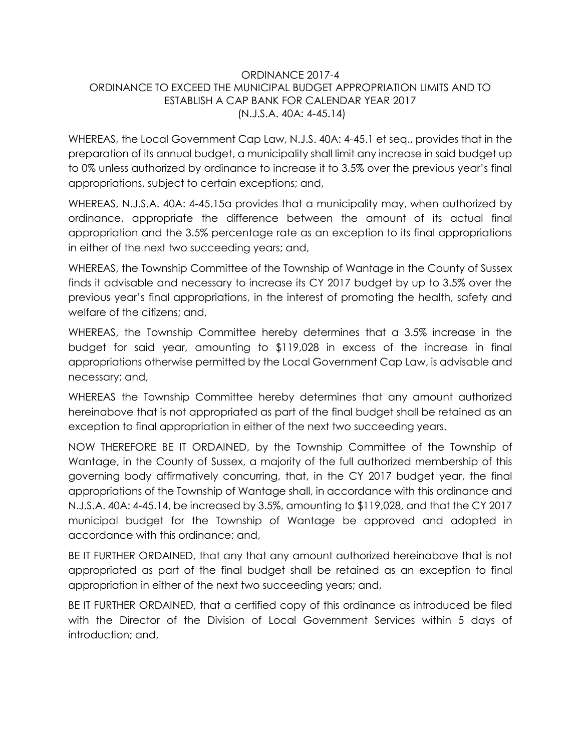# ORDINANCE 2017-4 ORDINANCE TO EXCEED THE MUNICIPAL BUDGET APPROPRIATION LIMITS AND TO ESTABLISH A CAP BANK FOR CALENDAR YEAR 2017 (N.J.S.A. 40A: 4-45.14)

WHEREAS, the Local Government Cap Law, N.J.S. 40A: 4-45.1 et seq., provides that in the preparation of its annual budget, a municipality shall limit any increase in said budget up to 0% unless authorized by ordinance to increase it to 3.5% over the previous year's final appropriations, subject to certain exceptions; and,

WHEREAS, N.J.S.A. 40A: 4-45.15a provides that a municipality may, when authorized by ordinance, appropriate the difference between the amount of its actual final appropriation and the 3.5% percentage rate as an exception to its final appropriations in either of the next two succeeding years; and,

WHEREAS, the Township Committee of the Township of Wantage in the County of Sussex finds it advisable and necessary to increase its CY 2017 budget by up to 3.5% over the previous year's final appropriations, in the interest of promoting the health, safety and welfare of the citizens; and,

WHEREAS, the Township Committee hereby determines that a 3.5% increase in the budget for said year, amounting to \$119,028 in excess of the increase in final appropriations otherwise permitted by the Local Government Cap Law, is advisable and necessary; and,

WHEREAS the Township Committee hereby determines that any amount authorized hereinabove that is not appropriated as part of the final budget shall be retained as an exception to final appropriation in either of the next two succeeding years.

NOW THEREFORE BE IT ORDAINED, by the Township Committee of the Township of Wantage, in the County of Sussex, a majority of the full authorized membership of this governing body affirmatively concurring, that, in the CY 2017 budget year, the final appropriations of the Township of Wantage shall, in accordance with this ordinance and N.J.S.A. 40A: 4-45.14, be increased by 3.5%, amounting to \$119,028, and that the CY 2017 municipal budget for the Township of Wantage be approved and adopted in accordance with this ordinance; and,

BE IT FURTHER ORDAINED, that any that any amount authorized hereinabove that is not appropriated as part of the final budget shall be retained as an exception to final appropriation in either of the next two succeeding years; and,

BE IT FURTHER ORDAINED, that a certified copy of this ordinance as introduced be filed with the Director of the Division of Local Government Services within 5 days of introduction; and,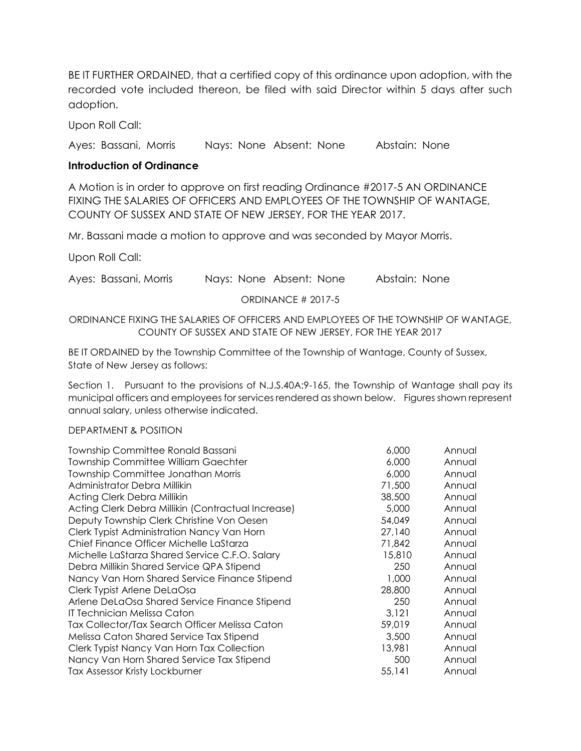BE IT FURTHER ORDAINED, that a certified copy of this ordinance upon adoption, with the recorded vote included thereon, be filed with said Director within 5 days after such adoption.

Upon Roll Call:

Ayes: Bassani, Morris Nays: None Absent: None Abstain: None

## **Introduction of Ordinance**

A Motion is in order to approve on first reading Ordinance #2017-5 AN ORDINANCE FIXING THE SALARIES OF OFFICERS AND EMPLOYEES OF THE TOWNSHIP OF WANTAGE, COUNTY OF SUSSEX AND STATE OF NEW JERSEY, FOR THE YEAR 2017.

Mr. Bassani made a motion to approve and was seconded by Mayor Morris.

Upon Roll Call:

Ayes: Bassani, Morris Nays: None Absent: None Abstain: None

ORDINANCE # 2017-5

## ORDINANCE FIXING THE SALARIES OF OFFICERS AND EMPLOYEES OF THE TOWNSHIP OF WANTAGE, COUNTY OF SUSSEX AND STATE OF NEW JERSEY, FOR THE YEAR 2017

BE IT ORDAINED by the Township Committee of the Township of Wantage, County of Sussex, State of New Jersey as follows:

Section 1. Pursuant to the provisions of N.J.S.40A:9-165, the Township of Wantage shall pay its municipal officers and employees for services rendered as shown below. Figures shown represent annual salary, unless otherwise indicated.

### DEPARTMENT & POSITION

| Township Committee Ronald Bassani                  | 6,000  | Annual |
|----------------------------------------------------|--------|--------|
| <b>Township Committee William Gaechter</b>         | 6,000  | Annual |
| Township Committee Jonathan Morris                 | 6,000  | Annual |
| Administrator Debra Millikin                       | 71,500 | Annual |
| Acting Clerk Debra Millikin                        | 38,500 | Annual |
| Acting Clerk Debra Millikin (Contractual Increase) | 5,000  | Annual |
| Deputy Township Clerk Christine Von Oesen          | 54,049 | Annual |
| Clerk Typist Administration Nancy Van Horn         | 27,140 | Annual |
| Chief Finance Officer Michelle LaStarza            | 71,842 | Annual |
| Michelle LaStarza Shared Service C.F.O. Salary     | 15,810 | Annual |
| Debra Millikin Shared Service QPA Stipend          | 250    | Annual |
| Nancy Van Horn Shared Service Finance Stipend      | 1,000  | Annual |
| Clerk Typist Arlene DeLaOsa                        | 28,800 | Annual |
| Arlene DeLaOsa Shared Service Finance Stipend      | 250    | Annual |
| IT Technician Melissa Caton                        | 3,121  | Annual |
| Tax Collector/Tax Search Officer Melissa Caton     | 59,019 | Annual |
| Melissa Caton Shared Service Tax Stipend           | 3,500  | Annual |
| Clerk Typist Nancy Van Horn Tax Collection         | 13,981 | Annual |
| Nancy Van Horn Shared Service Tax Stipend          | 500    | Annual |
| Tax Assessor Kristy Lockburner                     | 55,141 | Annual |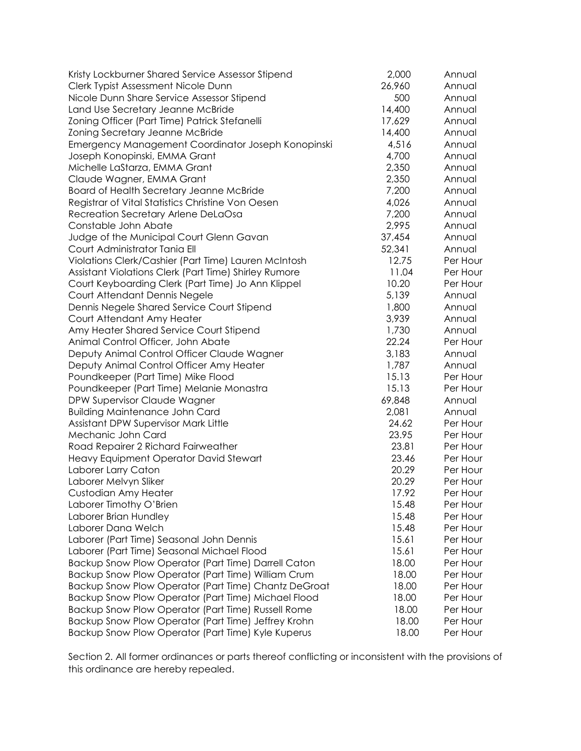| Kristy Lockburner Shared Service Assessor Stipend     | 2,000  | Annual   |
|-------------------------------------------------------|--------|----------|
| Clerk Typist Assessment Nicole Dunn                   | 26,960 | Annual   |
| Nicole Dunn Share Service Assessor Stipend            | 500    | Annual   |
| Land Use Secretary Jeanne McBride                     | 14,400 | Annual   |
| Zoning Officer (Part Time) Patrick Stefanelli         | 17,629 | Annual   |
| Zoning Secretary Jeanne McBride                       | 14,400 | Annual   |
| Emergency Management Coordinator Joseph Konopinski    | 4,516  | Annual   |
| Joseph Konopinski, EMMA Grant                         | 4,700  | Annual   |
| Michelle LaStarza, EMMA Grant                         | 2,350  | Annual   |
| Claude Wagner, EMMA Grant                             | 2,350  | Annual   |
| Board of Health Secretary Jeanne McBride              | 7,200  | Annual   |
| Registrar of Vital Statistics Christine Von Oesen     | 4,026  | Annual   |
| Recreation Secretary Arlene DeLaOsa                   | 7,200  | Annual   |
| Constable John Abate                                  | 2,995  | Annual   |
| Judge of the Municipal Court Glenn Gavan              | 37,454 | Annual   |
| Court Administrator Tania Ell                         | 52,341 | Annual   |
| Violations Clerk/Cashier (Part Time) Lauren McIntosh  | 12.75  | Per Hour |
| Assistant Violations Clerk (Part Time) Shirley Rumore | 11.04  | Per Hour |
| Court Keyboarding Clerk (Part Time) Jo Ann Klippel    | 10.20  | Per Hour |
| Court Attendant Dennis Negele                         | 5,139  | Annual   |
| Dennis Negele Shared Service Court Stipend            | 1,800  | Annual   |
| Court Attendant Amy Heater                            | 3,939  | Annual   |
| Amy Heater Shared Service Court Stipend               | 1,730  | Annual   |
| Animal Control Officer, John Abate                    | 22.24  | Per Hour |
| Deputy Animal Control Officer Claude Wagner           | 3,183  | Annual   |
| Deputy Animal Control Officer Amy Heater              | 1,787  | Annual   |
| Poundkeeper (Part Time) Mike Flood                    | 15.13  | Per Hour |
| Poundkeeper (Part Time) Melanie Monastra              | 15.13  | Per Hour |
| DPW Supervisor Claude Wagner                          | 69,848 | Annual   |
| <b>Building Maintenance John Card</b>                 | 2,081  | Annual   |
| Assistant DPW Supervisor Mark Little                  | 24.62  | Per Hour |
| Mechanic John Card                                    | 23.95  | Per Hour |
| Road Repairer 2 Richard Fairweather                   | 23.81  | Per Hour |
| Heavy Equipment Operator David Stewart                | 23.46  | Per Hour |
| Laborer Larry Caton                                   | 20.29  | Per Hour |
| Laborer Melvyn Sliker                                 | 20.29  | Per Hour |
| Custodian Amy Heater                                  | 17.92  | Per Hour |
| Laborer Timothy O'Brien                               | 15.48  | Per Hour |
| Laborer Brian Hundley                                 | 15.48  | Per Hour |
| Laborer Dana Welch                                    | 15.48  | Per Hour |
| Laborer (Part Time) Seasonal John Dennis              | 15.61  | Per Hour |
| Laborer (Part Time) Seasonal Michael Flood            | 15.61  | Per Hour |
| Backup Snow Plow Operator (Part Time) Darrell Caton   | 18.00  | Per Hour |
| Backup Snow Plow Operator (Part Time) William Crum    | 18.00  | Per Hour |
| Backup Snow Plow Operator (Part Time) Chantz DeGroat  | 18.00  | Per Hour |
| Backup Snow Plow Operator (Part Time) Michael Flood   | 18.00  | Per Hour |
| Backup Snow Plow Operator (Part Time) Russell Rome    | 18.00  | Per Hour |
| Backup Snow Plow Operator (Part Time) Jeffrey Krohn   | 18.00  | Per Hour |
| Backup Snow Plow Operator (Part Time) Kyle Kuperus    | 18.00  | Per Hour |

Section 2. All former ordinances or parts thereof conflicting or inconsistent with the provisions of this ordinance are hereby repealed.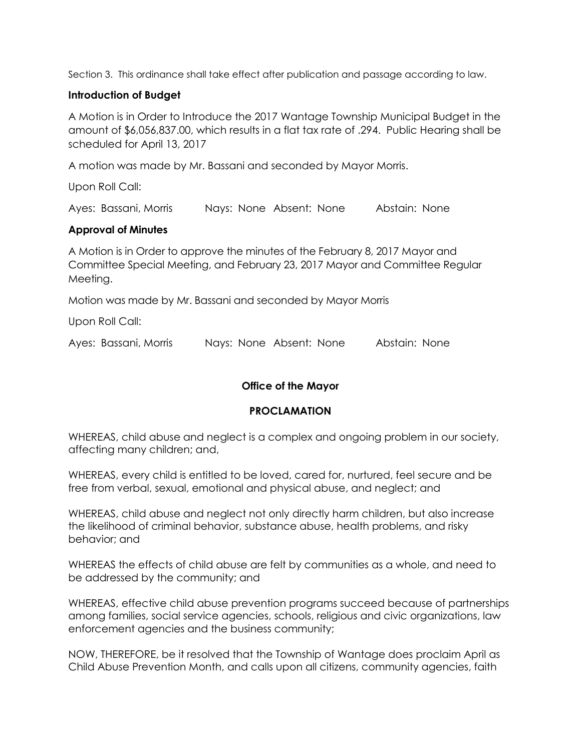Section 3. This ordinance shall take effect after publication and passage according to law.

## **Introduction of Budget**

A Motion is in Order to Introduce the 2017 Wantage Township Municipal Budget in the amount of \$6,056,837.00, which results in a flat tax rate of .294. Public Hearing shall be scheduled for April 13, 2017

A motion was made by Mr. Bassani and seconded by Mayor Morris.

Upon Roll Call:

Ayes: Bassani, Morris Nays: None Absent: None Abstain: None

## **Approval of Minutes**

A Motion is in Order to approve the minutes of the February 8, 2017 Mayor and Committee Special Meeting, and February 23, 2017 Mayor and Committee Regular Meeting.

Motion was made by Mr. Bassani and seconded by Mayor Morris

Upon Roll Call:

Ayes: Bassani, Morris Nays: None Absent: None Abstain: None

# **Office of the Mayor**

## **PROCLAMATION**

WHEREAS, child abuse and neglect is a complex and ongoing problem in our society, affecting many children; and,

WHEREAS, every child is entitled to be loved, cared for, nurtured, feel secure and be free from verbal, sexual, emotional and physical abuse, and neglect; and

WHEREAS, child abuse and neglect not only directly harm children, but also increase the likelihood of criminal behavior, substance abuse, health problems, and risky behavior; and

WHEREAS the effects of child abuse are felt by communities as a whole, and need to be addressed by the community; and

WHEREAS, effective child abuse prevention programs succeed because of partnerships among families, social service agencies, schools, religious and civic organizations, law enforcement agencies and the business community;

NOW, THEREFORE, be it resolved that the Township of Wantage does proclaim April as Child Abuse Prevention Month, and calls upon all citizens, community agencies, faith